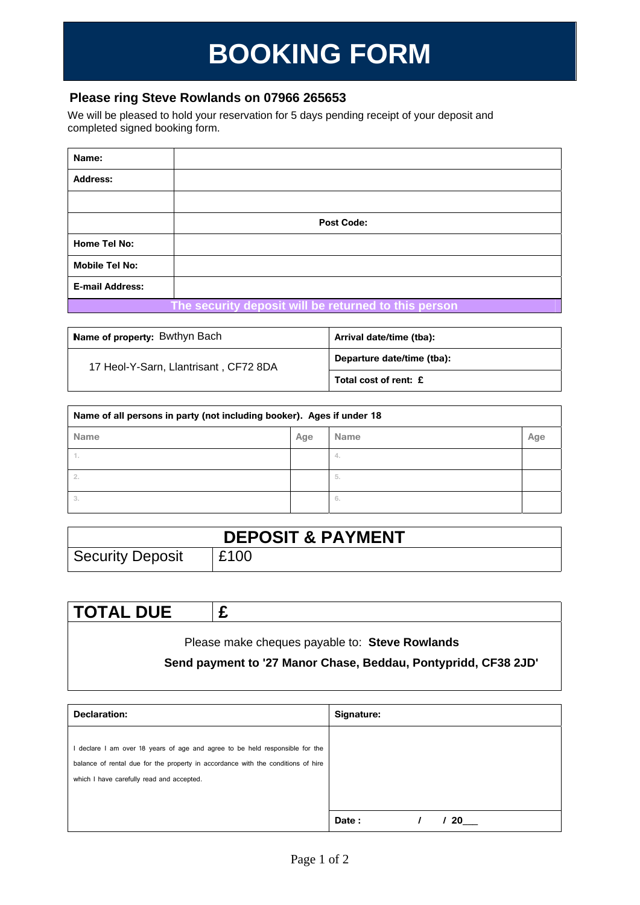## **BOOKING FORM**

## **Please ring Steve Rowlands on 07966 265653**

We will be pleased to hold your reservation for 5 days pending receipt of your deposit and completed signed booking form.

| Name:                  |                                                      |
|------------------------|------------------------------------------------------|
| <b>Address:</b>        |                                                      |
|                        |                                                      |
|                        | <b>Post Code:</b>                                    |
| Home Tel No:           |                                                      |
| <b>Mobile Tel No:</b>  |                                                      |
| <b>E-mail Address:</b> |                                                      |
|                        | The cocurity denosit will be returned to this person |

**The security deposit will be returned to this person** 

| Name of property: Bwthyn Bach         | Arrival date/time (tba):   |
|---------------------------------------|----------------------------|
| 17 Heol-Y-Sarn, Llantrisant, CF72 8DA | Departure date/time (tba): |
|                                       | Total cost of rent: £      |

| Name of all persons in party (not including booker). Ages if under 18 |     |             |     |  |  |
|-----------------------------------------------------------------------|-----|-------------|-----|--|--|
| <b>Name</b>                                                           | Age | <b>Name</b> | Age |  |  |
| l.                                                                    |     | 4.          |     |  |  |
| 2.                                                                    |     | 5.          |     |  |  |
| 3.                                                                    |     | 6.          |     |  |  |

| <b>DEPOSIT &amp; PAYMENT</b> |      |  |  |
|------------------------------|------|--|--|
| Security Deposit             | £100 |  |  |

| <b>TOTAL DUE</b>                                               |  |  |  |  |  |
|----------------------------------------------------------------|--|--|--|--|--|
| Please make cheques payable to: Steve Rowlands                 |  |  |  |  |  |
|                                                                |  |  |  |  |  |
| Send payment to '27 Manor Chase, Beddau, Pontypridd, CF38 2JD' |  |  |  |  |  |

 $\overline{\phantom{a}}$ 

| <b>Declaration:</b>                                                                                                                                                                                           | Signature:   |
|---------------------------------------------------------------------------------------------------------------------------------------------------------------------------------------------------------------|--------------|
| I declare I am over 18 years of age and agree to be held responsible for the<br>balance of rental due for the property in accordance with the conditions of hire<br>which I have carefully read and accepted. |              |
|                                                                                                                                                                                                               | Date :<br>20 |